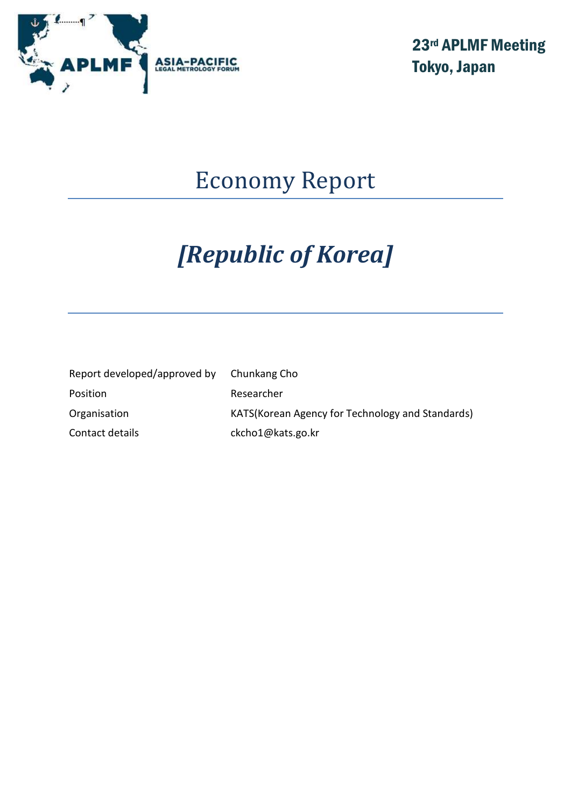

23rd APLMF Meeting Tokyo, Japan

## Economy Report

# *[Republic of Korea]*

| Report developed/approved by | Chunkang Cho                                      |
|------------------------------|---------------------------------------------------|
| Position                     | Researcher                                        |
| Organisation                 | KATS (Korean Agency for Technology and Standards) |
| Contact details              | ckcho1@kats.go.kr                                 |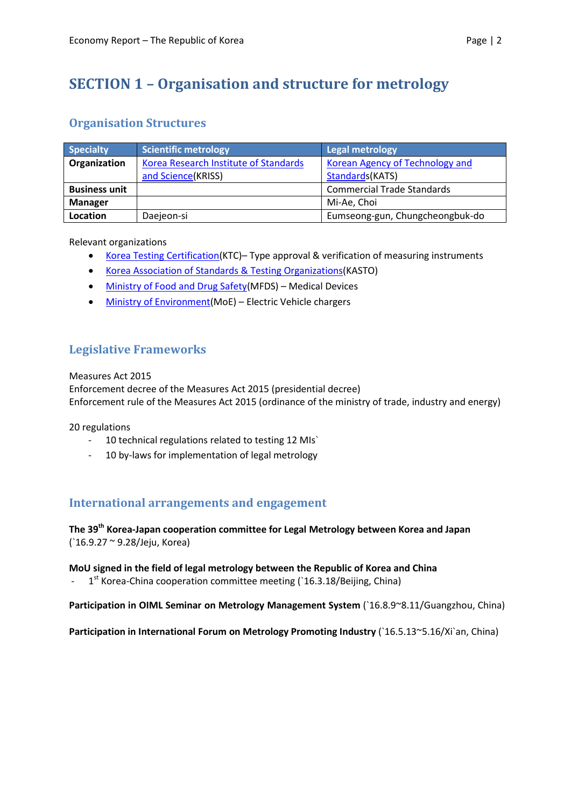## **SECTION 1 – Organisation and structure for metrology**

#### **Organisation Structures**

| <b>Specialty</b>     | Scientific metrology                  | <b>Legal metrology</b>                 |
|----------------------|---------------------------------------|----------------------------------------|
| Organization         | Korea Research Institute of Standards | <b>Korean Agency of Technology and</b> |
|                      | and Science(KRISS)                    | Standards(KATS)                        |
| <b>Business unit</b> |                                       | <b>Commercial Trade Standards</b>      |
| <b>Manager</b>       |                                       | Mi-Ae, Choi                            |
| Location             | Daejeon-si                            | Eumseong-gun, Chungcheongbuk-do        |

Relevant organizations

- [Korea Testing Certification\(](http://www.ktc.re.kr/)KTC)– Type approval & verification of measuring instruments
- [Korea Association of Standards & Testing Organizations\(](http://www.kasto.or.kr/)KASTO)
- [Ministry of Food and Drug Safety\(](http://www.mfds.go.kr/eng/index.do;jsessionid=RcjSjb1yH4t7eKRjGA1E9hbme1uWNhlLmQTF0NXJbmHOirjsQ3ks34gtWV7287L0)MFDS) Medical Devices
- [Ministry of Environment\(](http://eng.me.go.kr/eng/web/main.do)MoE) Electric Vehicle chargers

#### **Legislative Frameworks**

Measures Act 2015

Enforcement decree of the Measures Act 2015 (presidential decree) Enforcement rule of the Measures Act 2015 (ordinance of the ministry of trade, industry and energy)

20 regulations

- 10 technical regulations related to testing 12 MIs`
- 10 by-laws for implementation of legal metrology

#### **International arrangements and engagement**

**The 39th Korea-Japan cooperation committee for Legal Metrology between Korea and Japan** (`16.9.27 ~ 9.28/Jeju, Korea)

**MoU signed in the field of legal metrology between the Republic of Korea and China**

- 1<sup>st</sup> Korea-China cooperation committee meeting (`16.3.18/Beijing, China)

**Participation in OIML Seminar on Metrology Management System** (`16.8.9~8.11/Guangzhou, China)

**Participation in International Forum on Metrology Promoting Industry** (`16.5.13~5.16/Xi`an, China)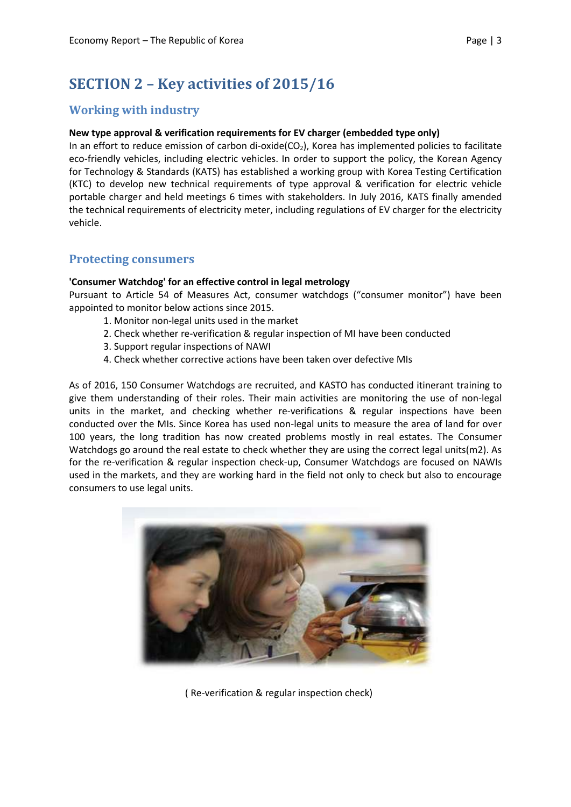## **SECTION 2 – Key activities of 2015/16**

#### **Working with industry**

#### **New type approval & verification requirements for EV charger (embedded type only)**

In an effort to reduce emission of carbon di-oxide( $CO<sub>2</sub>$ ), Korea has implemented policies to facilitate eco-friendly vehicles, including electric vehicles. In order to support the policy, the Korean Agency for Technology & Standards (KATS) has established a working group with Korea Testing Certification (KTC) to develop new technical requirements of type approval & verification for electric vehicle portable charger and held meetings 6 times with stakeholders. In July 2016, KATS finally amended the technical requirements of electricity meter, including regulations of EV charger for the electricity vehicle.

#### **Protecting consumers**

#### **'Consumer Watchdog' for an effective control in legal metrology**

Pursuant to Article 54 of Measures Act, consumer watchdogs ("consumer monitor") have been appointed to monitor below actions since 2015.

- 1. Monitor non-legal units used in the market
- 2. Check whether re-verification & regular inspection of MI have been conducted
- 3. Support regular inspections of NAWI
- 4. Check whether corrective actions have been taken over defective MIs

As of 2016, 150 Consumer Watchdogs are recruited, and KASTO has conducted itinerant training to give them understanding of their roles. Their main activities are monitoring the use of non-legal units in the market, and checking whether re-verifications & regular inspections have been conducted over the MIs. Since Korea has used non-legal units to measure the area of land for over 100 years, the long tradition has now created problems mostly in real estates. The Consumer Watchdogs go around the real estate to check whether they are using the correct legal units(m2). As for the re-verification & regular inspection check-up, Consumer Watchdogs are focused on NAWIs used in the markets, and they are working hard in the field not only to check but also to encourage consumers to use legal units.



( Re-verification & regular inspection check)